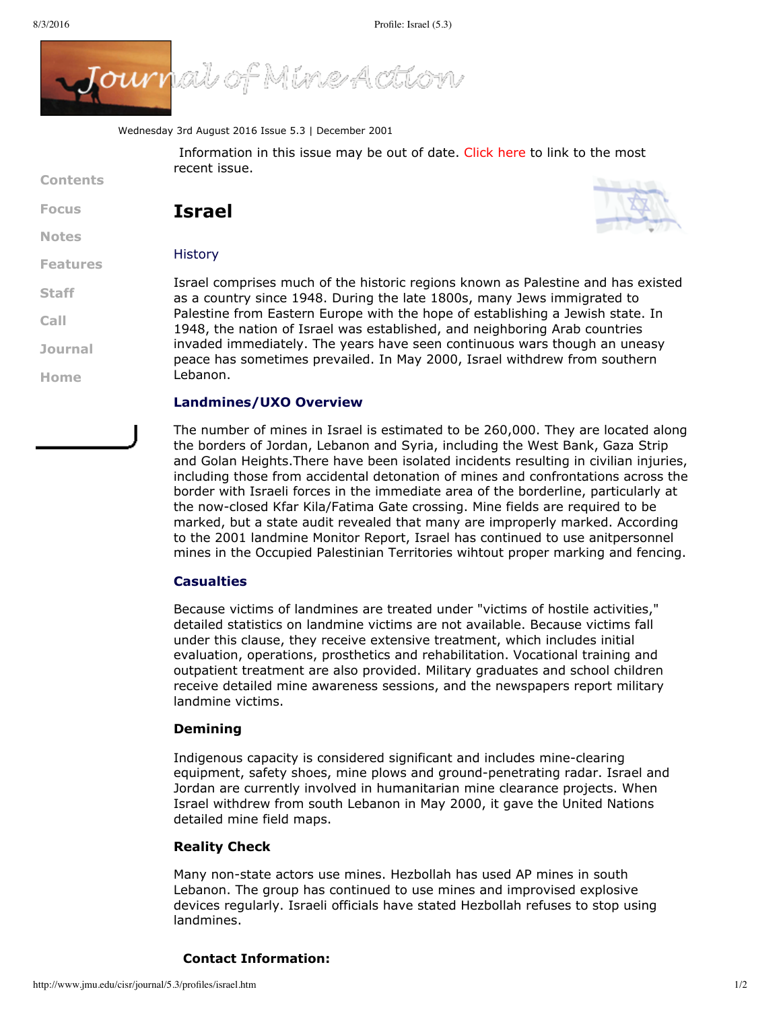

Wednesday 3rd August 2016 Issue 5.3 | December 2001

Information in this issue may be out of date. [Click](http://www.jmu.edu/cisr/journal/current.shtml) here to link to the most recent issue.

**[Focus](http://www.jmu.edu/cisr/journal/5.3/index.htm#focus) [Notes](http://www.jmu.edu/cisr/journal/5.3/index.htm#notes)**



**[Contents](http://www.jmu.edu/cisr/journal/5.3/index.htm)**

**[Staff](http://www.jmu.edu/cisr/staff/index.shtml)**

**[Call](http://www.jmu.edu/cisr/journal/cfps.shtml)**

**[Journal](http://www.jmu.edu/cisr/journal/past-issues.shtml)**

**[Home](http://www.jmu.edu/cisr)**

# **Israel**

# **History**



Israel comprises much of the historic regions known as Palestine and has existed as a country since 1948. During the late 1800s, many Jews immigrated to Palestine from Eastern Europe with the hope of establishing a Jewish state. In 1948, the nation of Israel was established, and neighboring Arab countries invaded immediately. The years have seen continuous wars though an uneasy peace has sometimes prevailed. In May 2000, Israel withdrew from southern Lebanon.

# **Landmines/UXO Overview**

The number of mines in Israel is estimated to be 260,000. They are located along the borders of Jordan, Lebanon and Syria, including the West Bank, Gaza Strip and Golan Heights.There have been isolated incidents resulting in civilian injuries, including those from accidental detonation of mines and confrontations across the border with Israeli forces in the immediate area of the borderline, particularly at the now-closed Kfar Kila/Fatima Gate crossing. Mine fields are required to be marked, but a state audit revealed that many are improperly marked. According to the 2001 landmine Monitor Report, Israel has continued to use anitpersonnel mines in the Occupied Palestinian Territories wihtout proper marking and fencing.

# **Casualties**

Because victims of landmines are treated under "victims of hostile activities," detailed statistics on landmine victims are not available. Because victims fall under this clause, they receive extensive treatment, which includes initial evaluation, operations, prosthetics and rehabilitation. Vocational training and outpatient treatment are also provided. Military graduates and school children receive detailed mine awareness sessions, and the newspapers report military landmine victims.

# **Demining**

Indigenous capacity is considered significant and includes mineclearing equipment, safety shoes, mine plows and ground-penetrating radar. Israel and Jordan are currently involved in humanitarian mine clearance projects. When Israel withdrew from south Lebanon in May 2000, it gave the United Nations detailed mine field maps.

# **Reality Check**

Many non-state actors use mines. Hezbollah has used AP mines in south Lebanon. The group has continued to use mines and improvised explosive devices regularly. Israeli officials have stated Hezbollah refuses to stop using landmines.

# **Contact Information:**